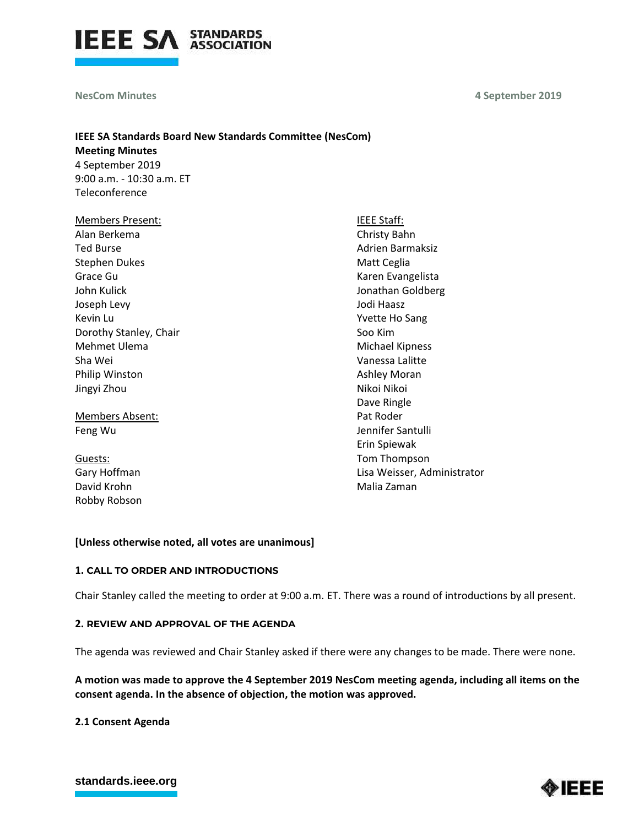

**NesCom Minutes** 

**4 September 2019**

# **IEEE SA Standards Board New Standards Committee (NesCom) Meeting Minutes** 4 September 2019 9:00 a.m. - 10:30 a.m. ET **Teleconference**

| <b>Members Present:</b> | <b>IEEE Staff:</b>          |
|-------------------------|-----------------------------|
| Alan Berkema            | Christy Bahn                |
| <b>Ted Burse</b>        | Adrien Barmaksiz            |
| <b>Stephen Dukes</b>    | Matt Ceglia                 |
| Grace Gu                | Karen Evangelista           |
| John Kulick             | Jonathan Goldberg           |
| Joseph Levy             | Jodi Haasz                  |
| Kevin Lu                | Yvette Ho Sang              |
| Dorothy Stanley, Chair  | Soo Kim                     |
| Mehmet Ulema            | <b>Michael Kipness</b>      |
| Sha Wei                 | Vanessa Lalitte             |
| Philip Winston          | Ashley Moran                |
| Jingyi Zhou             | Nikoi Nikoi                 |
|                         | Dave Ringle                 |
| Members Absent:         | Pat Roder                   |
| Feng Wu                 | Jennifer Santulli           |
|                         | Erin Spiewak                |
| Guests:                 | Tom Thompson                |
| Gary Hoffman            | Lisa Weisser, Administrator |

# **[Unless otherwise noted, all votes are unanimous]**

### **1. CALL TO ORDER AND INTRODUCTIONS**

Chair Stanley called the meeting to order at 9:00 a.m. ET. There was a round of introductions by all present.

Malia Zaman

#### **2. REVIEW AND APPROVAL OF THE AGENDA**

The agenda was reviewed and Chair Stanley asked if there were any changes to be made. There were none.

**A motion was made to approve the 4 September 2019 NesCom meeting agenda, including all items on the consent agenda. In the absence of objection, the motion was approved.**

**2.1 Consent Agenda**

David Krohn Robby Robson

# **[standards.ieee.org](http://standards.ieee.org/)**

◈IEEE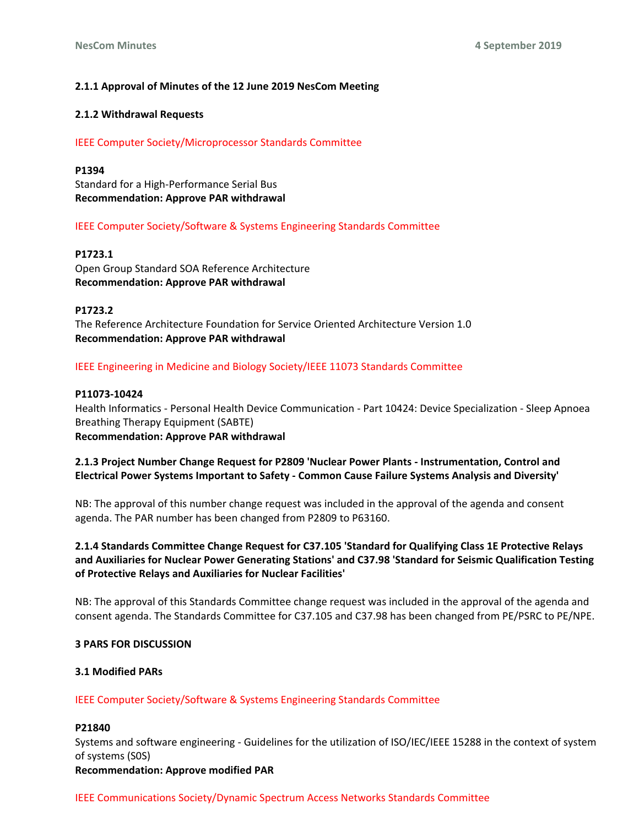# **2.1.1 Approval of Minutes of the 12 June 2019 NesCom Meeting**

### **2.1.2 Withdrawal Requests**

IEEE Computer Society/Microprocessor Standards Committee

**P1394** Standard for a High-Performance Serial Bus

**Recommendation: Approve PAR withdrawal**

# IEEE Computer Society/Software & Systems Engineering Standards Committee

### **P1723.1**

Open Group Standard SOA Reference Architecture **Recommendation: Approve PAR withdrawal**

# **P1723.2**

The Reference Architecture Foundation for Service Oriented Architecture Version 1.0 **Recommendation: Approve PAR withdrawal**

# IEEE Engineering in Medicine and Biology Society/IEEE 11073 Standards Committee

# **P11073-10424**

Health Informatics - Personal Health Device Communication - Part 10424: Device Specialization - Sleep Apnoea Breathing Therapy Equipment (SABTE) **Recommendation: Approve PAR withdrawal**

# **2.1.3 Project Number Change Request for P2809 'Nuclear Power Plants - Instrumentation, Control and Electrical Power Systems Important to Safety - Common Cause Failure Systems Analysis and Diversity'**

NB: The approval of this number change request was included in the approval of the agenda and consent agenda. The PAR number has been changed from P2809 to P63160.

# **2.1.4 Standards Committee Change Request for C37.105 'Standard for Qualifying Class 1E Protective Relays and Auxiliaries for Nuclear Power Generating Stations' and C37.98 'Standard for Seismic Qualification Testing of Protective Relays and Auxiliaries for Nuclear Facilities'**

NB: The approval of this Standards Committee change request was included in the approval of the agenda and consent agenda. The Standards Committee for C37.105 and C37.98 has been changed from PE/PSRC to PE/NPE.

### **3 PARS FOR DISCUSSION**

### **3.1 Modified PARs**

# IEEE Computer Society/Software & Systems Engineering Standards Committee

### **P21840**

Systems and software engineering - Guidelines for the utilization of ISO/IEC/IEEE 15288 in the context of system of systems (S0S)

### **Recommendation: Approve modified PAR**

### IEEE Communications Society/Dynamic Spectrum Access Networks Standards Committee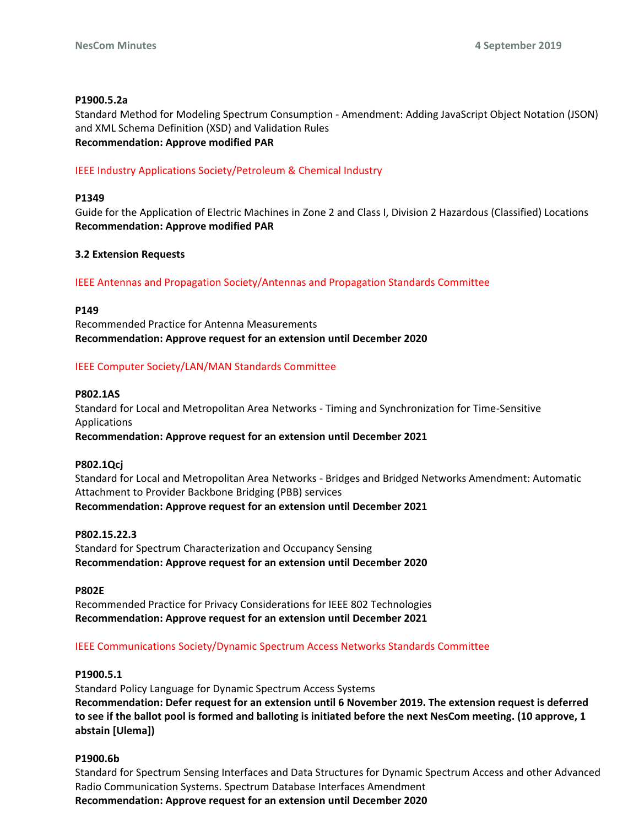# **P1900.5.2a**

Standard Method for Modeling Spectrum Consumption - Amendment: Adding JavaScript Object Notation (JSON) and XML Schema Definition (XSD) and Validation Rules **Recommendation: Approve modified PAR**

# IEEE Industry Applications Society/Petroleum & Chemical Industry

# **P1349**

Guide for the Application of Electric Machines in Zone 2 and Class I, Division 2 Hazardous (Classified) Locations **Recommendation: Approve modified PAR**

# **3.2 Extension Requests**

# IEEE Antennas and Propagation Society/Antennas and Propagation Standards Committee

**P149**

Recommended Practice for Antenna Measurements **Recommendation: Approve request for an extension until December 2020**

# IEEE Computer Society/LAN/MAN Standards Committee

### **P802.1AS**

Standard for Local and Metropolitan Area Networks - Timing and Synchronization for Time-Sensitive Applications

**Recommendation: Approve request for an extension until December 2021**

### **P802.1Qcj**

Standard for Local and Metropolitan Area Networks - Bridges and Bridged Networks Amendment: Automatic Attachment to Provider Backbone Bridging (PBB) services **Recommendation: Approve request for an extension until December 2021**

### **P802.15.22.3**

Standard for Spectrum Characterization and Occupancy Sensing **Recommendation: Approve request for an extension until December 2020**

### **P802E**

Recommended Practice for Privacy Considerations for IEEE 802 Technologies **Recommendation: Approve request for an extension until December 2021**

# IEEE Communications Society/Dynamic Spectrum Access Networks Standards Committee

### **P1900.5.1**

Standard Policy Language for Dynamic Spectrum Access Systems **Recommendation: Defer request for an extension until 6 November 2019. The extension request is deferred to see if the ballot pool is formed and balloting is initiated before the next NesCom meeting. (10 approve, 1 abstain [Ulema])**

# **P1900.6b**

Standard for Spectrum Sensing Interfaces and Data Structures for Dynamic Spectrum Access and other Advanced Radio Communication Systems. Spectrum Database Interfaces Amendment **Recommendation: Approve request for an extension until December 2020**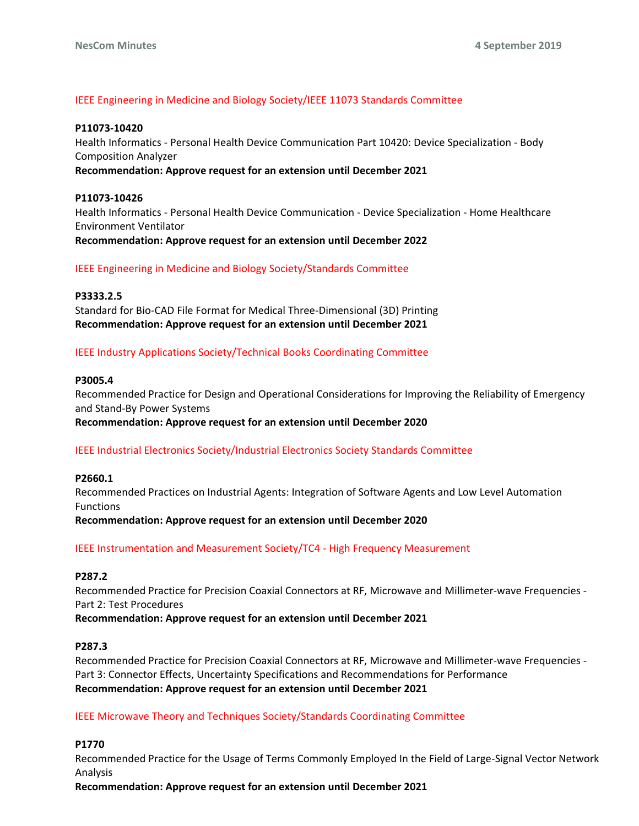# IEEE Engineering in Medicine and Biology Society/IEEE 11073 Standards Committee

#### **P11073-10420**

Health Informatics - Personal Health Device Communication Part 10420: Device Specialization - Body Composition Analyzer

**Recommendation: Approve request for an extension until December 2021**

### **P11073-10426**

Health Informatics - Personal Health Device Communication - Device Specialization - Home Healthcare Environment Ventilator **Recommendation: Approve request for an extension until December 2022**

IEEE Engineering in Medicine and Biology Society/Standards Committee

### **P3333.2.5**

Standard for Bio-CAD File Format for Medical Three-Dimensional (3D) Printing **Recommendation: Approve request for an extension until December 2021**

# IEEE Industry Applications Society/Technical Books Coordinating Committee

#### **P3005.4**

Recommended Practice for Design and Operational Considerations for Improving the Reliability of Emergency and Stand-By Power Systems

### **Recommendation: Approve request for an extension until December 2020**

### IEEE Industrial Electronics Society/Industrial Electronics Society Standards Committee

#### **P2660.1**

Recommended Practices on Industrial Agents: Integration of Software Agents and Low Level Automation Functions **Recommendation: Approve request for an extension until December 2020**

IEEE Instrumentation and Measurement Society/TC4 - High Frequency Measurement

#### **P287.2**

Recommended Practice for Precision Coaxial Connectors at RF, Microwave and Millimeter-wave Frequencies - Part 2: Test Procedures

**Recommendation: Approve request for an extension until December 2021**

### **P287.3**

Recommended Practice for Precision Coaxial Connectors at RF, Microwave and Millimeter-wave Frequencies - Part 3: Connector Effects, Uncertainty Specifications and Recommendations for Performance **Recommendation: Approve request for an extension until December 2021**

### IEEE Microwave Theory and Techniques Society/Standards Coordinating Committee

### **P1770**

Recommended Practice for the Usage of Terms Commonly Employed In the Field of Large-Signal Vector Network Analysis

**Recommendation: Approve request for an extension until December 2021**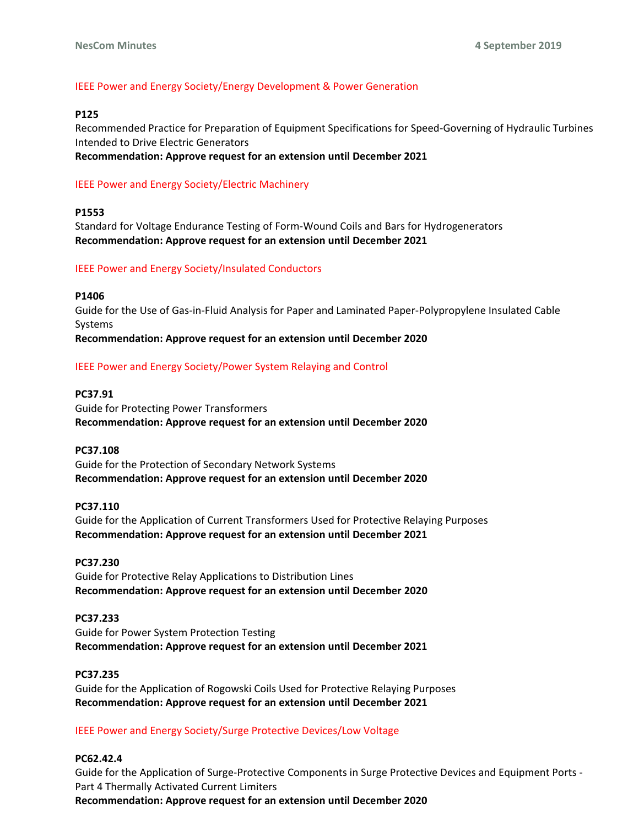### IEEE Power and Energy Society/Energy Development & Power Generation

### **P125**

Recommended Practice for Preparation of Equipment Specifications for Speed-Governing of Hydraulic Turbines Intended to Drive Electric Generators

**Recommendation: Approve request for an extension until December 2021**

### IEEE Power and Energy Society/Electric Machinery

### **P1553**

Standard for Voltage Endurance Testing of Form-Wound Coils and Bars for Hydrogenerators **Recommendation: Approve request for an extension until December 2021**

### IEEE Power and Energy Society/Insulated Conductors

#### **P1406**

Guide for the Use of Gas-in-Fluid Analysis for Paper and Laminated Paper-Polypropylene Insulated Cable Systems

**Recommendation: Approve request for an extension until December 2020**

### IEEE Power and Energy Society/Power System Relaying and Control

### **PC37.91**

Guide for Protecting Power Transformers **Recommendation: Approve request for an extension until December 2020**

### **PC37.108**

Guide for the Protection of Secondary Network Systems **Recommendation: Approve request for an extension until December 2020**

#### **PC37.110**

Guide for the Application of Current Transformers Used for Protective Relaying Purposes **Recommendation: Approve request for an extension until December 2021**

### **PC37.230**

Guide for Protective Relay Applications to Distribution Lines **Recommendation: Approve request for an extension until December 2020**

### **PC37.233**

Guide for Power System Protection Testing **Recommendation: Approve request for an extension until December 2021**

#### **PC37.235**

Guide for the Application of Rogowski Coils Used for Protective Relaying Purposes **Recommendation: Approve request for an extension until December 2021**

### IEEE Power and Energy Society/Surge Protective Devices/Low Voltage

### **PC62.42.4**

Guide for the Application of Surge-Protective Components in Surge Protective Devices and Equipment Ports - Part 4 Thermally Activated Current Limiters **Recommendation: Approve request for an extension until December 2020**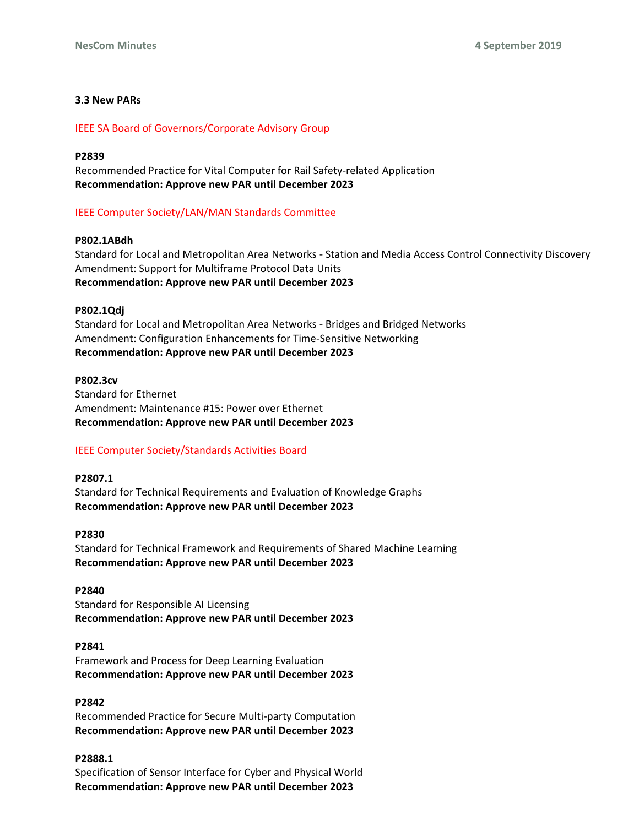# **3.3 New PARs**

### IEEE SA Board of Governors/Corporate Advisory Group

#### **P2839**

Recommended Practice for Vital Computer for Rail Safety-related Application **Recommendation: Approve new PAR until December 2023**

### IEEE Computer Society/LAN/MAN Standards Committee

### **P802.1ABdh**

Standard for Local and Metropolitan Area Networks - Station and Media Access Control Connectivity Discovery Amendment: Support for Multiframe Protocol Data Units **Recommendation: Approve new PAR until December 2023**

#### **P802.1Qdj**

Standard for Local and Metropolitan Area Networks - Bridges and Bridged Networks Amendment: Configuration Enhancements for Time-Sensitive Networking **Recommendation: Approve new PAR until December 2023**

# **P802.3cv** Standard for Ethernet Amendment: Maintenance #15: Power over Ethernet **Recommendation: Approve new PAR until December 2023**

### IEEE Computer Society/Standards Activities Board

# **P2807.1** Standard for Technical Requirements and Evaluation of Knowledge Graphs **Recommendation: Approve new PAR until December 2023**

### **P2830**

Standard for Technical Framework and Requirements of Shared Machine Learning **Recommendation: Approve new PAR until December 2023**

#### **P2840**

Standard for Responsible AI Licensing **Recommendation: Approve new PAR until December 2023**

#### **P2841**

Framework and Process for Deep Learning Evaluation **Recommendation: Approve new PAR until December 2023**

### **P2842**

Recommended Practice for Secure Multi-party Computation **Recommendation: Approve new PAR until December 2023**

### **P2888.1**

Specification of Sensor Interface for Cyber and Physical World **Recommendation: Approve new PAR until December 2023**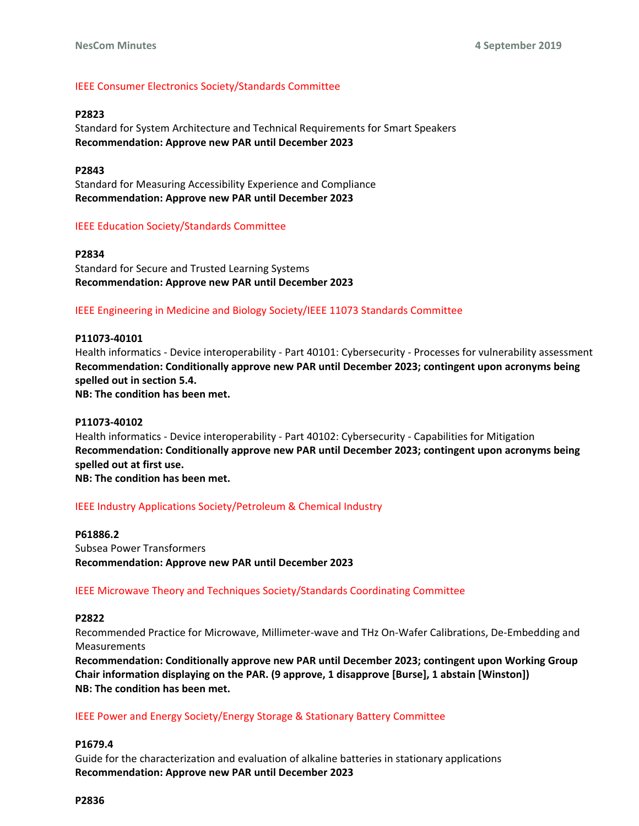# IEEE Consumer Electronics Society/Standards Committee

### **P2823**

Standard for System Architecture and Technical Requirements for Smart Speakers **Recommendation: Approve new PAR until December 2023**

# **P2843**

Standard for Measuring Accessibility Experience and Compliance **Recommendation: Approve new PAR until December 2023**

### IEEE Education Society/Standards Committee

**P2834** Standard for Secure and Trusted Learning Systems **Recommendation: Approve new PAR until December 2023**

### IEEE Engineering in Medicine and Biology Society/IEEE 11073 Standards Committee

### **P11073-40101**

Health informatics - Device interoperability - Part 40101: Cybersecurity - Processes for vulnerability assessment **Recommendation: Conditionally approve new PAR until December 2023; contingent upon acronyms being spelled out in section 5.4.**

**NB: The condition has been met.**

### **P11073-40102**

Health informatics - Device interoperability - Part 40102: Cybersecurity - Capabilities for Mitigation **Recommendation: Conditionally approve new PAR until December 2023; contingent upon acronyms being spelled out at first use. NB: The condition has been met.**

### IEEE Industry Applications Society/Petroleum & Chemical Industry

**P61886.2** Subsea Power Transformers **Recommendation: Approve new PAR until December 2023**

### IEEE Microwave Theory and Techniques Society/Standards Coordinating Committee

### **P2822**

Recommended Practice for Microwave, Millimeter-wave and THz On-Wafer Calibrations, De-Embedding and Measurements

**Recommendation: Conditionally approve new PAR until December 2023; contingent upon Working Group Chair information displaying on the PAR. (9 approve, 1 disapprove [Burse], 1 abstain [Winston]) NB: The condition has been met.**

### IEEE Power and Energy Society/Energy Storage & Stationary Battery Committee

### **P1679.4**

Guide for the characterization and evaluation of alkaline batteries in stationary applications **Recommendation: Approve new PAR until December 2023**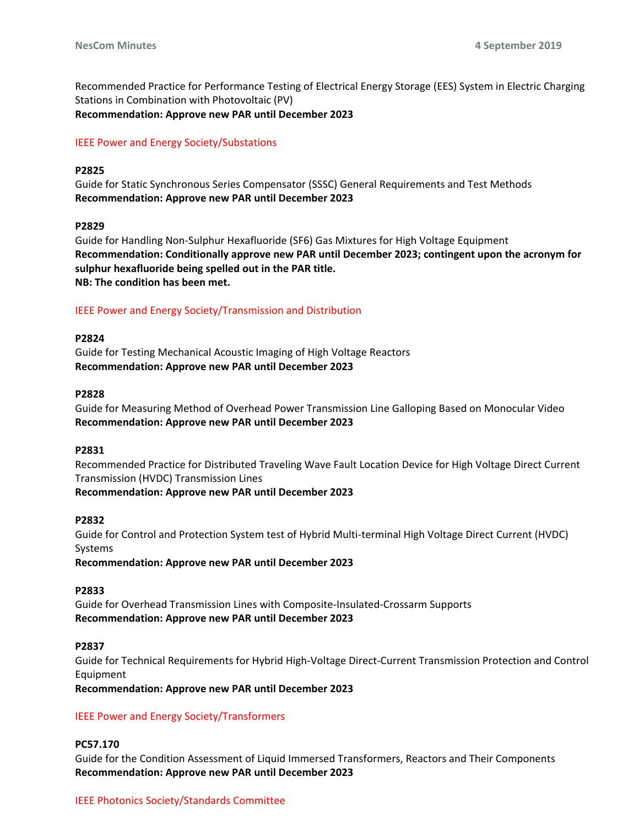Recommended Practice for Performance Testing of Electrical Energy Storage (EES) System in Electric Charging Stations in Combination with Photovoltaic (PV) **Recommendation: Approve new PAR until December 2023**

# IEEE Power and Energy Society/Substations

### **P2825**

Guide for Static Synchronous Series Compensator (SSSC) General Requirements and Test Methods **Recommendation: Approve new PAR until December 2023**

#### **P2829**

Guide for Handling Non-Sulphur Hexafluoride (SF6) Gas Mixtures for High Voltage Equipment **Recommendation: Conditionally approve new PAR until December 2023; contingent upon the acronym for sulphur hexafluoride being spelled out in the PAR title. NB: The condition has been met.**

#### IEEE Power and Energy Society/Transmission and Distribution

### **P2824**

Guide for Testing Mechanical Acoustic Imaging of High Voltage Reactors **Recommendation: Approve new PAR until December 2023**

#### **P2828**

Guide for Measuring Method of Overhead Power Transmission Line Galloping Based on Monocular Video **Recommendation: Approve new PAR until December 2023**

### **P2831**

Recommended Practice for Distributed Traveling Wave Fault Location Device for High Voltage Direct Current Transmission (HVDC) Transmission Lines

#### **Recommendation: Approve new PAR until December 2023**

#### **P2832**

Guide for Control and Protection System test of Hybrid Multi-terminal High Voltage Direct Current (HVDC) Systems

**Recommendation: Approve new PAR until December 2023**

### **P2833**

Guide for Overhead Transmission Lines with Composite-Insulated-Crossarm Supports **Recommendation: Approve new PAR until December 2023**

### **P2837**

Guide for Technical Requirements for Hybrid High-Voltage Direct-Current Transmission Protection and Control Equipment

**Recommendation: Approve new PAR until December 2023**

### IEEE Power and Energy Society/Transformers

#### **PC57.170**

Guide for the Condition Assessment of Liquid Immersed Transformers, Reactors and Their Components **Recommendation: Approve new PAR until December 2023**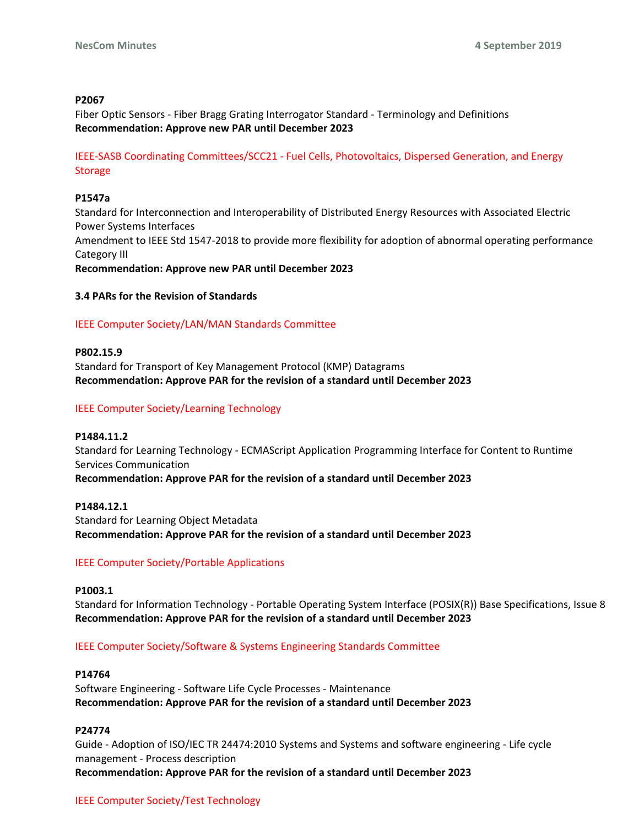### **P2067**

Fiber Optic Sensors - Fiber Bragg Grating Interrogator Standard - Terminology and Definitions **Recommendation: Approve new PAR until December 2023**

IEEE-SASB Coordinating Committees/SCC21 - Fuel Cells, Photovoltaics, Dispersed Generation, and Energy Storage

#### **P1547a**

Standard for Interconnection and Interoperability of Distributed Energy Resources with Associated Electric Power Systems Interfaces

Amendment to IEEE Std 1547-2018 to provide more flexibility for adoption of abnormal operating performance Category III

**Recommendation: Approve new PAR until December 2023**

#### **3.4 PARs for the Revision of Standards**

### IEEE Computer Society/LAN/MAN Standards Committee

**P802.15.9** Standard for Transport of Key Management Protocol (KMP) Datagrams **Recommendation: Approve PAR for the revision of a standard until December 2023**

### IEEE Computer Society/Learning Technology

**P1484.11.2** Standard for Learning Technology - ECMAScript Application Programming Interface for Content to Runtime Services Communication **Recommendation: Approve PAR for the revision of a standard until December 2023**

**P1484.12.1** Standard for Learning Object Metadata **Recommendation: Approve PAR for the revision of a standard until December 2023**

### IEEE Computer Society/Portable Applications

#### **P1003.1**

Standard for Information Technology - Portable Operating System Interface (POSIX(R)) Base Specifications, Issue 8 **Recommendation: Approve PAR for the revision of a standard until December 2023**

IEEE Computer Society/Software & Systems Engineering Standards Committee

#### **P14764**

Software Engineering - Software Life Cycle Processes - Maintenance **Recommendation: Approve PAR for the revision of a standard until December 2023**

### **P24774**

Guide - Adoption of ISO/IEC TR 24474:2010 Systems and Systems and software engineering - Life cycle management - Process description **Recommendation: Approve PAR for the revision of a standard until December 2023**

# IEEE Computer Society/Test Technology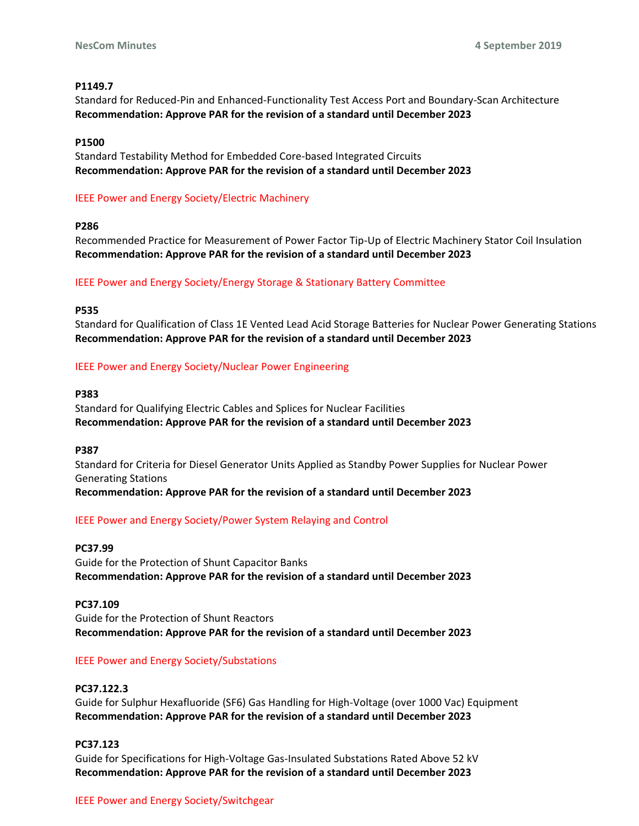### **P1149.7**

Standard for Reduced-Pin and Enhanced-Functionality Test Access Port and Boundary-Scan Architecture **Recommendation: Approve PAR for the revision of a standard until December 2023**

### **P1500**

Standard Testability Method for Embedded Core-based Integrated Circuits **Recommendation: Approve PAR for the revision of a standard until December 2023**

# IEEE Power and Energy Society/Electric Machinery

### **P286**

Recommended Practice for Measurement of Power Factor Tip-Up of Electric Machinery Stator Coil Insulation **Recommendation: Approve PAR for the revision of a standard until December 2023**

# IEEE Power and Energy Society/Energy Storage & Stationary Battery Committee

### **P535**

Standard for Qualification of Class 1E Vented Lead Acid Storage Batteries for Nuclear Power Generating Stations **Recommendation: Approve PAR for the revision of a standard until December 2023**

# IEEE Power and Energy Society/Nuclear Power Engineering

### **P383**

Standard for Qualifying Electric Cables and Splices for Nuclear Facilities **Recommendation: Approve PAR for the revision of a standard until December 2023**

### **P387**

Standard for Criteria for Diesel Generator Units Applied as Standby Power Supplies for Nuclear Power Generating Stations **Recommendation: Approve PAR for the revision of a standard until December 2023**

# IEEE Power and Energy Society/Power System Relaying and Control

### **PC37.99**

Guide for the Protection of Shunt Capacitor Banks **Recommendation: Approve PAR for the revision of a standard until December 2023**

### **PC37.109**

Guide for the Protection of Shunt Reactors **Recommendation: Approve PAR for the revision of a standard until December 2023**

### IEEE Power and Energy Society/Substations

### **PC37.122.3**

Guide for Sulphur Hexafluoride (SF6) Gas Handling for High-Voltage (over 1000 Vac) Equipment **Recommendation: Approve PAR for the revision of a standard until December 2023**

# **PC37.123**

Guide for Specifications for High-Voltage Gas-Insulated Substations Rated Above 52 kV **Recommendation: Approve PAR for the revision of a standard until December 2023**